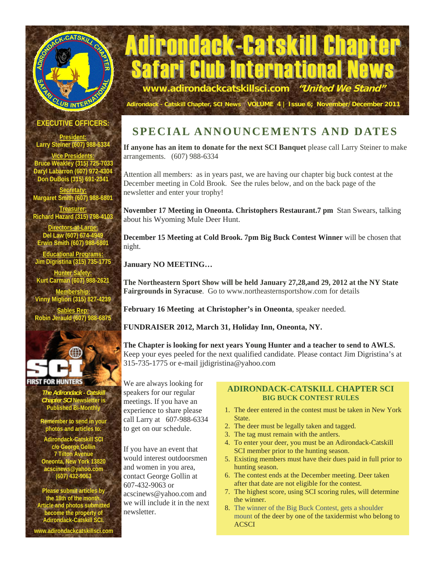

# Adirondack-Catskill Chapter Club International **www.adirondackcatskillsci.com "United We Stand"**

**EXECUTIVE OFFICERS:** 

**President: Larry Steiner (607) 988-6334** 

**Vice Presidents: Bruce Weakley (315) 725-7033 Daryl Labarron (607) 972-4304 Don DuBois (315) 691-2341** 

**Secretary: Margaret Smith (607) 988-6801** 

**Treasurer: Richard Hazard (315) 798-4103** 

**Directors-at-Large: Del Law (607) 674-4949 Erwin Smith (607) 988-6801** 

**Educational Programs: Jim Digristina (315) 735-1775** 

**Hunter Safety: Kurt Carman (607) 988-2621 Membership:**

**Vinny Migliori (315) 827-4239 Sables Rep:**

**Robin Jerauld (607) 988-**



#### **FIRST FOR HUNTERS**

*The Adirondack - Catskill Chapter SCI* **Newsletter is Published Bi-Monthly** 

**Remember to send in your photos and articles to:** 

**Adirondack-Catskill SCI c/o George Gollin 7 Tilton Avenue Oneonta, New York 13820 acscinews@yahoo.com (607) 432-9063** 

**Please submit articles by the 18th of the month. Article and photos submitted become the property of Adirondack-Catskill SCI. www.adirondackcatskillsci.com** 

# **SPECIAL ANNOUNCEMENTS AND DATES**

**Adirondack - Catskill Chapter, SCI News VOLUME 4 | Issue 6; November/December 2011**

**If anyone has an item to donate for the next SCI Banquet** please call Larry Steiner to make arrangements. (607) 988-6334

Attention all members: as in years past, we are having our chapter big buck contest at the December meeting in Cold Brook. See the rules below, and on the back page of the newsletter and enter your trophy!

**November 17 Meeting in Oneonta. Christophers Restaurant.7 pm** Stan Swears, talking about his Wyoming Mule Deer Hunt.

**December 15 Meeting at Cold Brook. 7pm Big Buck Contest Winner** will be chosen that night.

**January NO MEETING…** 

**The Northeastern Sport Show will be held January 27,28,and 29, 2012 at the NY State Fairgrounds in Syracuse**. Go to www.northeasternsportshow.com for details

**February 16 Meeting at Christopher's in Oneonta**, speaker needed.

**FUNDRAISER 2012, March 31, Holiday Inn, Oneonta, NY.** 

**The Chapter is looking for next years Young Hunter and a teacher to send to AWLS.**  Keep your eyes peeled for the next qualified candidate. Please contact Jim Digristina's at 315-735-1775 or e-mail jjdigristina@yahoo.com

We are always looking for speakers for our regular meetings. If you have an experience to share please call Larry at 607-988-6334 to get on our schedule.

If you have an event that would interest outdoorsmen and women in you area, contact George Gollin at 607-432-9063 or acscinews@yahoo.com and we will include it in the next newsletter.

#### **ADIRONDACK-CATSKILL CHAPTER SCI BIG BUCK CONTEST RULES**

- 1. The deer entered in the contest must be taken in New York State.
- 2. The deer must be legally taken and tagged.
- 3. The tag must remain with the antlers.
- 4. To enter your deer, you must be an Adirondack-Catskill SCI member prior to the hunting season.
- 5. Existing members must have their dues paid in full prior to hunting season.
- 6. The contest ends at the December meeting. Deer taken after that date are not eligible for the contest.
- 7. The highest score, using SCI scoring rules, will determine the winner.
- 8. The winner of the Big Buck Contest, gets a shoulder mount of the deer by one of the taxidermist who belong to **ACSCI**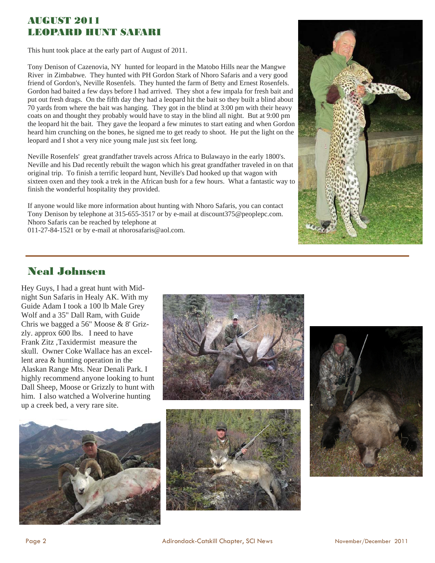#### AUGUST 2011 LEOPARD HUNT SAFARI

This hunt took place at the early part of August of 2011.

Tony Denison of Cazenovia, NY hunted for leopard in the Matobo Hills near the Mangwe River in Zimbabwe. They hunted with PH Gordon Stark of Nhoro Safaris and a very good friend of Gordon's, Neville Rosenfels. They hunted the farm of Betty and Ernest Rosenfels. Gordon had baited a few days before I had arrived. They shot a few impala for fresh bait and put out fresh drags. On the fifth day they had a leopard hit the bait so they built a blind about 70 yards from where the bait was hanging. They got in the blind at 3:00 pm with their heavy coats on and thought they probably would have to stay in the blind all night. But at 9:00 pm the leopard hit the bait. They gave the leopard a few minutes to start eating and when Gordon heard him crunching on the bones, he signed me to get ready to shoot. He put the light on the leopard and I shot a very nice young male just six feet long.

Neville Rosenfels' great grandfather travels across Africa to Bulawayo in the early 1800's. Neville and his Dad recently rebuilt the wagon which his great grandfather traveled in on that original trip. To finish a terrific leopard hunt, Neville's Dad hooked up that wagon with sixteen oxen and they took a trek in the African bush for a few hours. What a fantastic way to finish the wonderful hospitality they provided.

If anyone would like more information about hunting with Nhoro Safaris, you can contact Tony Denison by telephone at 315-655-3517 or by e-mail at discount375@peoplepc.com. Nhoro Safaris can be reached by telephone at 011-27-84-1521 or by e-mail at nhorosafaris@aol.com.



## Neal Johnsen

Hey Guys, I had a great hunt with Midnight Sun Safaris in Healy AK. With my Guide Adam I took a 100 lb Male Grey Wolf and a 35" Dall Ram, with Guide Chris we bagged a 56" Moose & 8' Grizzly. approx 600 lbs. I need to have Frank Zitz ,Taxidermist measure the skull. Owner Coke Wallace has an excellent area & hunting operation in the Alaskan Range Mts. Near Denali Park. I highly recommend anyone looking to hunt Dall Sheep, Moose or Grizzly to hunt with him. I also watched a Wolverine hunting up a creek bed, a very rare site.







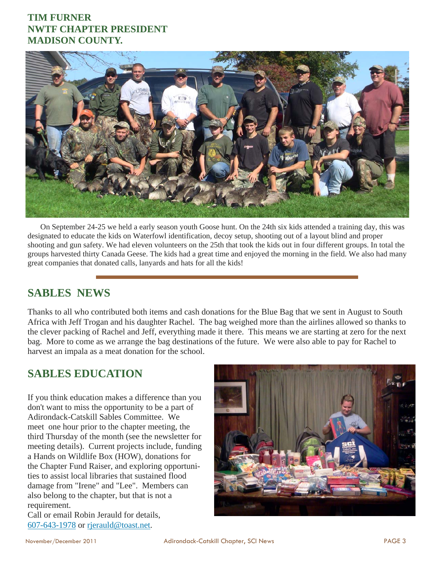#### **TIM FURNER NWTF CHAPTER PRESIDENT MADISON COUNTY.**



 On September 24-25 we held a early season youth Goose hunt. On the 24th six kids attended a training day, this was designated to educate the kids on Waterfowl identification, decoy setup, shooting out of a layout blind and proper shooting and gun safety. We had eleven volunteers on the 25th that took the kids out in four different groups. In total the groups harvested thirty Canada Geese. The kids had a great time and enjoyed the morning in the field. We also had many great companies that donated calls, lanyards and hats for all the kids!

#### **SABLES NEWS**

Thanks to all who contributed both items and cash donations for the Blue Bag that we sent in August to South Africa with Jeff Trogan and his daughter Rachel. The bag weighed more than the airlines allowed so thanks to the clever packing of Rachel and Jeff, everything made it there. This means we are starting at zero for the next bag. More to come as we arrange the bag destinations of the future. We were also able to pay for Rachel to harvest an impala as a meat donation for the school.

## **SABLES EDUCATION**

If you think education makes a difference than you don't want to miss the opportunity to be a part of Adirondack-Catskill Sables Committee. We meet one hour prior to the chapter meeting, the third Thursday of the month (see the newsletter for meeting details). Current projects include, funding a Hands on Wildlife Box (HOW), donations for the Chapter Fund Raiser, and exploring opportunities to assist local libraries that sustained flood damage from "Irene" and "Lee". Members can also belong to the chapter, but that is not a requirement.

Call or email Robin Jerauld for details, 607-643-1978 or rjerauld@toast.net.

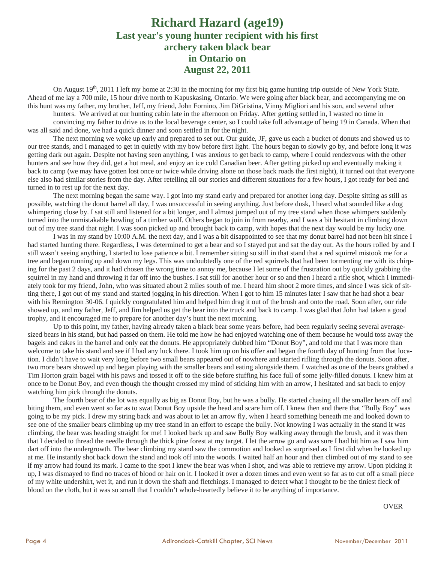#### **Richard Hazard (age19) Last year's young hunter recipient with his first archery taken black bear in Ontario on August 22, 2011**

On August  $19<sup>th</sup>$ , 2011 I left my home at 2:30 in the morning for my first big game hunting trip outside of New York State. Ahead of me lay a 700 mile, 15 hour drive north to Kapuskasing, Ontario. We were going after black bear, and accompanying me on this hunt was my father, my brother, Jeff, my friend, John Fornino, Jim DiGristina, Vinny Migliori and his son, and several other

hunters. We arrived at our hunting cabin late in the afternoon on Friday. After getting settled in, I wasted no time in convincing my father to drive us to the local beverage center, so I could take full advantage of being 19 in Canada. When that was all said and done, we had a quick dinner and soon settled in for the night.

The next morning we woke up early and prepared to set out. Our guide, JF, gave us each a bucket of donuts and showed us to our tree stands, and I managed to get in quietly with my bow before first light. The hours began to slowly go by, and before long it was getting dark out again. Despite not having seen anything, I was anxious to get back to camp, where I could rendezvous with the other hunters and see how they did, get a hot meal, and enjoy an ice cold Canadian beer. After getting picked up and eventually making it back to camp (we may have gotten lost once or twice while driving alone on those back roads the first night), it turned out that everyone else also had similar stories from the day. After retelling all our stories and different situations for a few hours, I got ready for bed and turned in to rest up for the next day.

The next morning began the same way. I got into my stand early and prepared for another long day. Despite sitting as still as possible, watching the donut barrel all day, I was unsuccessful in seeing anything. Just before dusk, I heard what sounded like a dog whimpering close by. I sat still and listened for a bit longer, and I almost jumped out of my tree stand when those whimpers suddenly turned into the unmistakable howling of a timber wolf. Others began to join in from nearby, and I was a bit hesitant in climbing down out of my tree stand that night. I was soon picked up and brought back to camp, with hopes that the next day would be my lucky one.

I was in my stand by 10:00 A.M. the next day, and I was a bit disappointed to see that my donut barrel had not been hit since I had started hunting there. Regardless, I was determined to get a bear and so I stayed put and sat the day out. As the hours rolled by and I still wasn't seeing anything, I started to lose patience a bit. I remember sitting so still in that stand that a red squirrel mistook me for a tree and began running up and down my legs. This was undoubtedly one of the red squirrels that had been tormenting me with its chirping for the past 2 days, and it had chosen the wrong time to annoy me, because I let some of the frustration out by quickly grabbing the squirrel in my hand and throwing it far off into the bushes. I sat still for another hour or so and then I heard a rifle shot, which I immediately took for my friend, John, who was situated about 2 miles south of me. I heard him shoot 2 more times, and since I was sick of sitting there, I got out of my stand and started jogging in his direction. When I got to him 15 minutes later I saw that he had shot a bear with his Remington 30-06. I quickly congratulated him and helped him drag it out of the brush and onto the road. Soon after, our ride showed up, and my father, Jeff, and Jim helped us get the bear into the truck and back to camp. I was glad that John had taken a good trophy, and it encouraged me to prepare for another day's hunt the next morning.

Up to this point, my father, having already taken a black bear some years before, had been regularly seeing several averagesized bears in his stand, but had passed on them. He told me how he had enjoyed watching one of them because he would toss away the bagels and cakes in the barrel and only eat the donuts. He appropriately dubbed him "Donut Boy", and told me that I was more than welcome to take his stand and see if I had any luck there. I took him up on his offer and began the fourth day of hunting from that location. I didn't have to wait very long before two small bears appeared out of nowhere and started rifling through the donuts. Soon after, two more bears showed up and began playing with the smaller bears and eating alongside them. I watched as one of the bears grabbed a Tim Horton grain bagel with his paws and tossed it off to the side before stuffing his face full of some jelly-filled donuts. I knew him at once to be Donut Boy, and even though the thought crossed my mind of sticking him with an arrow, I hesitated and sat back to enjoy watching him pick through the donuts.

The fourth bear of the lot was equally as big as Donut Boy, but he was a bully. He started chasing all the smaller bears off and biting them, and even went so far as to swat Donut Boy upside the head and scare him off. I knew then and there that "Bully Boy" was going to be my pick. I drew my string back and was about to let an arrow fly, when I heard something beneath me and looked down to see one of the smaller bears climbing up my tree stand in an effort to escape the bully. Not knowing I was actually in the stand it was climbing, the bear was heading straight for me! I looked back up and saw Bully Boy walking away through the brush, and it was then that I decided to thread the needle through the thick pine forest at my target. I let the arrow go and was sure I had hit him as I saw him dart off into the undergrowth. The bear climbing my stand saw the commotion and looked as surprised as I first did when he looked up at me. He instantly shot back down the stand and took off into the woods. I waited half an hour and then climbed out of my stand to see if my arrow had found its mark. I came to the spot I knew the bear was when I shot, and was able to retrieve my arrow. Upon picking it up, I was dismayed to find no traces of blood or hair on it. I looked it over a dozen times and even went so far as to cut off a small piece of my white undershirt, wet it, and run it down the shaft and fletchings. I managed to detect what I thought to be the tiniest fleck of blood on the cloth, but it was so small that I couldn't whole-heartedly believe it to be anything of importance.

**OVER OVER**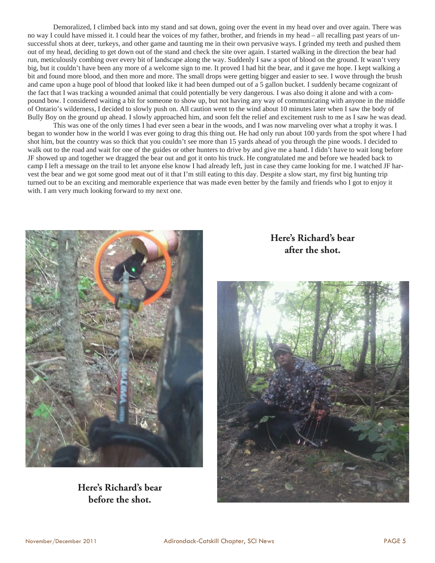Demoralized, I climbed back into my stand and sat down, going over the event in my head over and over again. There was no way I could have missed it. I could hear the voices of my father, brother, and friends in my head – all recalling past years of unsuccessful shots at deer, turkeys, and other game and taunting me in their own pervasive ways. I grinded my teeth and pushed them out of my head, deciding to get down out of the stand and check the site over again. I started walking in the direction the bear had run, meticulously combing over every bit of landscape along the way. Suddenly I saw a spot of blood on the ground. It wasn't very big, but it couldn't have been any more of a welcome sign to me. It proved I had hit the bear, and it gave me hope. I kept walking a bit and found more blood, and then more and more. The small drops were getting bigger and easier to see. I wove through the brush and came upon a huge pool of blood that looked like it had been dumped out of a 5 gallon bucket. I suddenly became cognizant of the fact that I was tracking a wounded animal that could potentially be very dangerous. I was also doing it alone and with a compound bow. I considered waiting a bit for someone to show up, but not having any way of communicating with anyone in the middle of Ontario's wilderness, I decided to slowly push on. All caution went to the wind about 10 minutes later when I saw the body of Bully Boy on the ground up ahead. I slowly approached him, and soon felt the relief and excitement rush to me as I saw he was dead.

This was one of the only times I had ever seen a bear in the woods, and I was now marveling over what a trophy it was. I began to wonder how in the world I was ever going to drag this thing out. He had only run about 100 yards from the spot where I had shot him, but the country was so thick that you couldn't see more than 15 yards ahead of you through the pine woods. I decided to walk out to the road and wait for one of the guides or other hunters to drive by and give me a hand. I didn't have to wait long before JF showed up and together we dragged the bear out and got it onto his truck. He congratulated me and before we headed back to camp I left a message on the trail to let anyone else know I had already left, just in case they came looking for me. I watched JF harvest the bear and we got some good meat out of it that I'm still eating to this day. Despite a slow start, my first big hunting trip turned out to be an exciting and memorable experience that was made even better by the family and friends who I got to enjoy it with. I am very much looking forward to my next one.



#### **Here's Richard's bear before the shot.**

**Here's Richard's bear after the shot.**